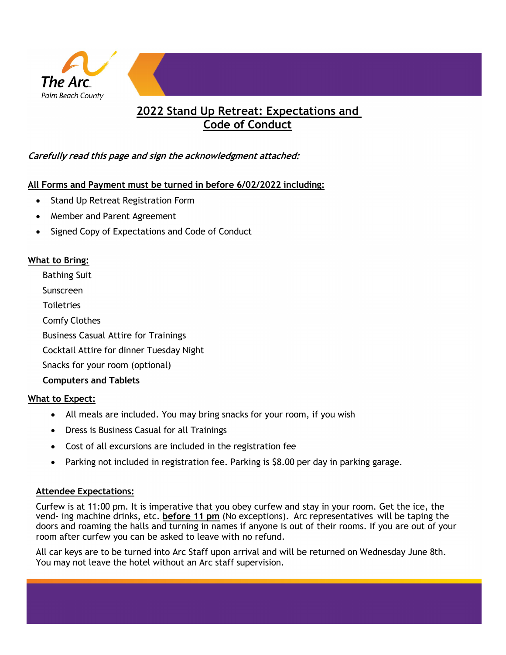

## **2022 Stand Up Retreat: Expectations and Code of Conduct**

## **Carefully read this page and sign the acknowledgment attached:**

#### **All Forms and Payment must be turned in before 6/02/2022 including:**

- Stand Up Retreat Registration Form
- Member and Parent Agreement
- Signed Copy of Expectations and Code of Conduct

#### **What to Bring:**

Bathing Suit Sunscreen **Toiletries** Comfy Clothes Business Casual Attire for Trainings Cocktail Attire for dinner Tuesday Night Snacks for your room (optional) **Computers and Tablets**

#### **What to Expect:**

- All meals are included. You may bring snacks for your room, if you wish
- Dress is Business Casual for all Trainings
- Cost of all excursions are included in the registration fee
- Parking not included in registration fee. Parking is \$8.00 per day in parking garage.

### **Attendee Expectations:**

Curfew is at 11:00 pm. It is imperative that you obey curfew and stay in your room. Get the ice, the vend- ing machine drinks, etc. **before 11 pm** (No exceptions). Arc representatives will be taping the doors and roaming the halls and turning in names if anyone is out of their rooms. If you are out of your room after curfew you can be asked to leave with no refund.

All car keys are to be turned into Arc Staff upon arrival and will be returned on Wednesday June 8th. You may not leave the hotel without an Arc staff supervision.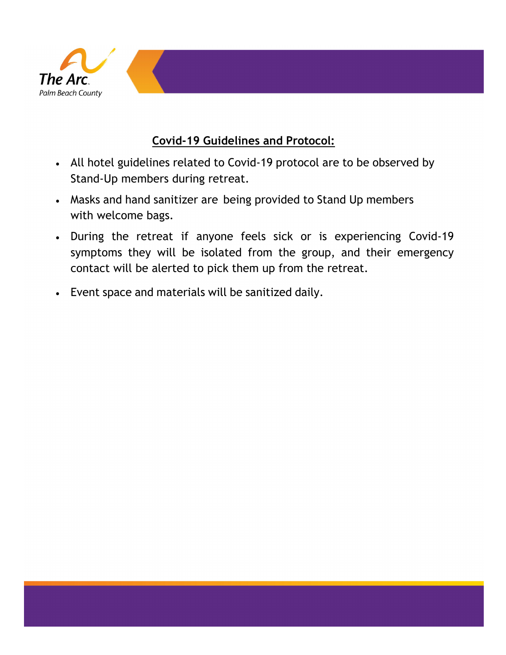

# **Covid-19 Guidelines and Protocol:**

- All hotel guidelines related to Covid-19 protocol are to be observed by Stand-Up members during retreat.
- Masks and hand sanitizer are being provided to Stand Up members with welcome bags.
- During the retreat if anyone feels sick or is experiencing Covid-19 symptoms they will be isolated from the group, and their emergency contact will be alerted to pick them up from the retreat.
- Event space and materials will be sanitized daily.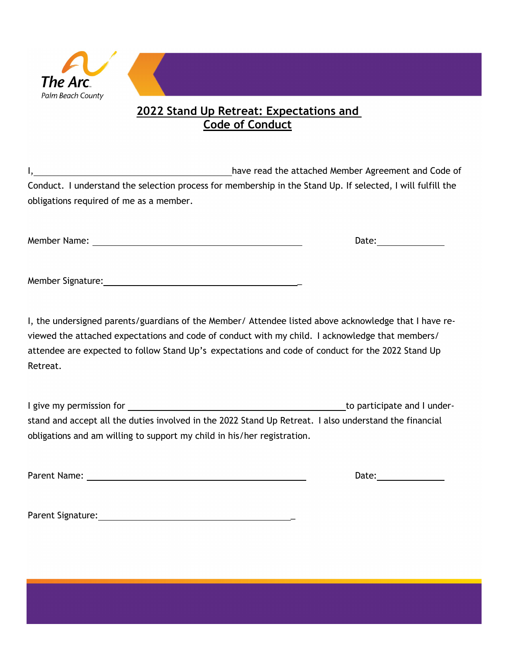

## **2022 Stand Up Retreat: Expectations and Code of Conduct**

I, have read the attached Member Agreement and Code of Conduct. I understand the selection process for membership in the Stand Up. If selected, I will fulfill the obligations required of me as a member.

Member Name: Date:

I, the undersigned parents/guardians of the Member/ Attendee listed above acknowledge that I have reviewed the attached expectations and code of conduct with my child. I acknowledge that members/ attendee are expected to follow Stand Up's expectations and code of conduct for the 2022 Stand Up Retreat.

I give my permission for the participate and I understand and accept all the duties involved in the 2022 Stand Up Retreat. I also understand the financial obligations and am willing to support my child in his/her registration.

Parent Name: Date:

Parent Signature: \_